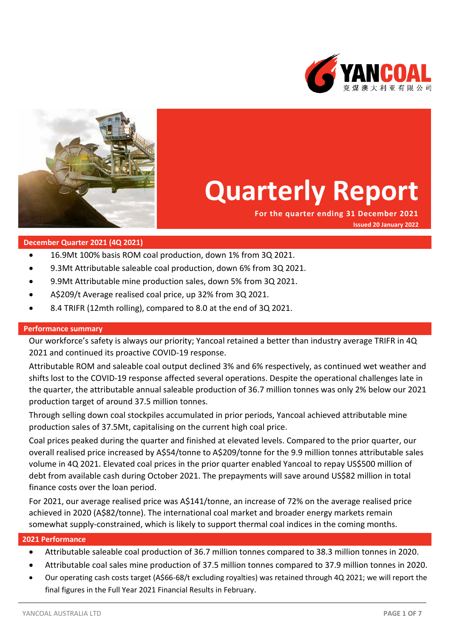



# **Quarterly Report**

**For the quarter ending 31 December 2021 Issued 20 January 2022**

# **December Quarter 2021 (4Q 2021)**

- 16.9Mt 100% basis ROM coal production, down 1% from 3Q 2021.
- 9.3Mt Attributable saleable coal production, down 6% from 3Q 2021.
- 9.9Mt Attributable mine production sales, down 5% from 3Q 2021.
- A\$209/t Average realised coal price, up 32% from 3Q 2021.
- 8.4 TRIFR (12mth rolling), compared to 8.0 at the end of 3Q 2021.

#### **Performance summary**

Our workforce's safety is always our priority; Yancoal retained a better than industry average TRIFR in 4Q 2021 and continued its proactive COVID-19 response.

Attributable ROM and saleable coal output declined 3% and 6% respectively, as continued wet weather and shifts lost to the COVID-19 response affected several operations. Despite the operational challenges late in the quarter, the attributable annual saleable production of 36.7 million tonnes was only 2% below our 2021 production target of around 37.5 million tonnes.

Through selling down coal stockpiles accumulated in prior periods, Yancoal achieved attributable mine production sales of 37.5Mt, capitalising on the current high coal price.

Coal prices peaked during the quarter and finished at elevated levels. Compared to the prior quarter, our overall realised price increased by A\$54/tonne to A\$209/tonne for the 9.9 million tonnes attributable sales volume in 4Q 2021. Elevated coal prices in the prior quarter enabled Yancoal to repay US\$500 million of debt from available cash during October 2021. The prepayments will save around US\$82 million in total finance costs over the loan period.

For 2021, our average realised price was A\$141/tonne, an increase of 72% on the average realised price achieved in 2020 (A\$82/tonne). The international coal market and broader energy markets remain somewhat supply-constrained, which is likely to support thermal coal indices in the coming months.

#### **2021 Performance**

- Attributable saleable coal production of 36.7 million tonnes compared to 38.3 million tonnes in 2020.
- Attributable coal sales mine production of 37.5 million tonnes compared to 37.9 million tonnes in 2020.
- Our operating cash costs target (A\$66-68/t excluding royalties) was retained through 4Q 2021; we will report the final figures in the Full Year 2021 Financial Results in February.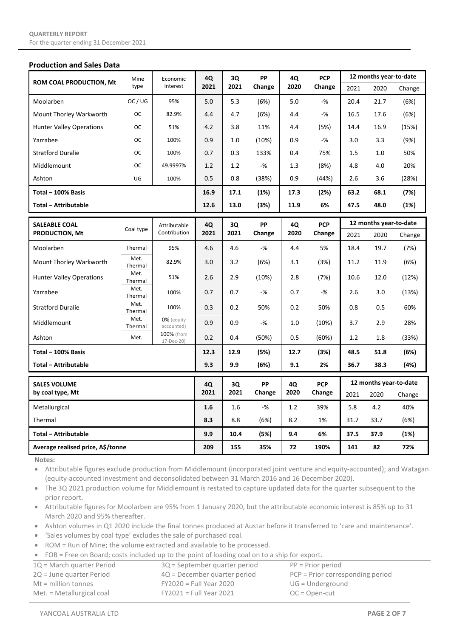#### **Production and Sales Data**

| <b>ROM COAL PRODUCTION, Mt</b>                | Mine<br>type    | Economic                     | 4Q         | 3Q<br>2021          | <b>PP</b><br>Change | 4Q<br>2020           | <b>PCP</b><br>Change   | 12 months year-to-date |                        |        |
|-----------------------------------------------|-----------------|------------------------------|------------|---------------------|---------------------|----------------------|------------------------|------------------------|------------------------|--------|
|                                               |                 | Interest                     | 2021       |                     |                     |                      |                        | 2021                   | 2020                   | Change |
| Moolarben                                     | OC/UG           | 95%                          | 5.0        | 5.3                 | (6%)                | 5.0                  | -%                     | 20.4                   | 21.7                   | (6%)   |
| Mount Thorley Warkworth                       | <b>OC</b>       | 82.9%                        | 4.4        | 4.7                 | (6%)                | 4.4                  | $-$ %                  | 16.5                   | 17.6                   | (6%)   |
| <b>Hunter Valley Operations</b>               | <b>OC</b>       | 51%                          | 4.2        | 3.8                 | 11%                 | 4.4                  | (5%)                   | 14.4                   | 16.9                   | (15%)  |
| Yarrabee                                      | <b>OC</b>       | 100%                         | 0.9        | 1.0                 | (10%)               | 0.9                  | $-$ %                  | 3.0                    | 3.3                    | (9%)   |
| <b>Stratford Duralie</b>                      | <b>OC</b>       | 100%                         | 0.7        | 0.3                 | 133%                | 0.4                  | 75%                    | 1.5                    | 1.0                    | 50%    |
| Middlemount                                   | <b>OC</b>       | 49.9997%                     | 1.2        | 1.2                 | $-$ %               | 1.3                  | (8%)                   | 4.8                    | 4.0                    | 20%    |
| Ashton                                        | UG              | 100%                         | 0.5        | 0.8                 | (38%)               | 0.9                  | (44%)                  | 2.6                    | 3.6                    | (28%)  |
| Total - 100% Basis                            |                 |                              | 16.9       | 17.1                | (1%)                | 17.3                 | (2%)                   | 63.2                   | 68.1                   | (7%)   |
| <b>Total - Attributable</b>                   |                 |                              | 12.6       | 13.0                | (3%)                | 11.9                 | 6%                     | 47.5                   | 48.0                   | (1%)   |
|                                               |                 |                              |            |                     | PP                  |                      | <b>PCP</b>             |                        | 12 months year-to-date |        |
| <b>SALEABLE COAL</b><br><b>PRODUCTION, Mt</b> | Coal type       | Attributable<br>Contribution | 4Q<br>2021 | 3Q<br>2021          | Change              | 4Q<br>2020           | Change                 | 2021                   | 2020                   | Change |
| Moolarben                                     | Thermal         | 95%                          | 4.6        | 4.6                 | $-$ %               | 4.4                  | 5%                     | 18.4                   | 19.7                   | (7%)   |
| Mount Thorley Warkworth                       | Met.<br>Thermal | 82.9%                        | 3.0        | 3.2                 | (6%)                | 3.1                  | (3%)                   | 11.2                   | 11.9                   | (6%)   |
| <b>Hunter Valley Operations</b>               | Met.<br>Thermal | 51%                          | 2.6        | 2.9                 | (10%)               | 2.8                  | (7%)                   | 10.6                   | 12.0                   | (12%)  |
| Yarrabee                                      | Met.<br>Thermal | 100%                         | 0.7        | 0.7                 | $-$ %               | 0.7                  | $-$ %                  | 2.6                    | 3.0                    | (13%)  |
| <b>Stratford Duralie</b>                      | Met.<br>Thermal | 100%                         | 0.3        | 0.2                 | 50%                 | 0.2                  | 50%                    | 0.8                    | 0.5                    | 60%    |
| Middlemount                                   | Met.<br>Thermal | 0% (equity<br>accounted)     | 0.9        | 0.9                 | $-$ %               | 1.0                  | (10%)                  | 3.7                    | 2.9                    | 28%    |
| Ashton                                        | Met.            | 100% (from<br>17-Dec-20)     | 0.2        | 0.4                 | (50%)               | 0.5                  | (60%)                  | 1.2                    | 1.8                    | (33%)  |
| Total - 100% Basis                            |                 |                              | 12.3       | 12.9                | (5%)                | 12.7                 | (3%)                   | 48.5                   | 51.8                   | (6%)   |
| <b>Total - Attributable</b>                   |                 |                              | 9.3        | 9.9                 | (6%)                | 9.1                  | 2%                     | 36.7                   | 38.3                   | (4%)   |
| <b>SALES VOLUME</b><br>by coal type, Mt       |                 | 4Q<br>2021                   | 3Q<br>2021 | <b>PP</b><br>Change | 4Q<br>2020          | <b>PCP</b><br>Change | 12 months year-to-date |                        |                        |        |
|                                               |                 |                              |            |                     |                     |                      | 2021                   | 2020                   | Change                 |        |
| Metallurgical                                 |                 |                              | 1.6        | 1.6                 | $-$ %               | 1.2                  | 39%                    | 5.8                    | 4.2                    | 40%    |
| Thermal                                       |                 |                              | 8.3        | 8.8                 | (6%)                | 8.2                  | 1%                     | 31.7                   | 33.7                   | (6%)   |
| <b>Total - Attributable</b>                   |                 |                              | 9.9        | 10.4                | (5%)                | 9.4                  | 6%                     | 37.5                   | 37.9                   | (1%)   |
| Average realised price, A\$/tonne             |                 |                              | 209        | 155                 | 35%                 | 72                   | 190%                   | 141                    | 82                     | 72%    |

**Notes:**

• Attributable figures exclude production from Middlemount (incorporated joint venture and equity-accounted); and Watagan (equity-accounted investment and deconsolidated between 31 March 2016 and 16 December 2020).

• The 3Q 2021 production volume for Middlemount is restated to capture updated data for the quarter subsequent to the prior report.

• Attributable figures for Moolarben are 95% from 1 January 2020, but the attributable economic interest is 85% up to 31 March 2020 and 95% thereafter.

• Ashton volumes in Q1 2020 include the final tonnes produced at Austar before it transferred to 'care and maintenance'.

• 'Sales volumes by coal type' excludes the sale of purchased coal.

- ROM = Run of Mine; the volume extracted and available to be processed.
- FOB = Free on Board; costs included up to the point of loading coal on to a ship for export.

| $1Q =$ March quarter Period | $3Q$ = September quarter period | $PP = Prior period$                |
|-----------------------------|---------------------------------|------------------------------------|
| 2Q = June quarter Period    | $4Q$ = December quarter period  | $PCP = Prior corresponding period$ |
| $Mt = million tonnes$       | $FY2020 = Full Year 2020$       | $UG = Underground$                 |
| Met. $=$ Metallurgical coal | $FY2021 = Full Year 2021$       | $OC = Open-cut$                    |
|                             |                                 |                                    |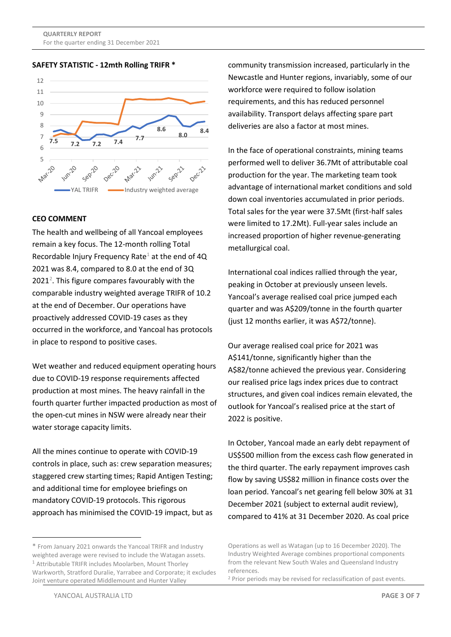#### **SAFETY STATISTIC - 12mth Rolling TRIFR \***



#### **CEO COMMENT**

The health and wellbeing of all Yancoal employees remain a key focus. The 12-month rolling Total Recordable Injury Frequency Rate<sup>[1](#page-2-0)</sup> at the end of  $4Q$ 2021 was 8.4, compared to 8.0 at the end of 3Q  $2021<sup>2</sup>$  $2021<sup>2</sup>$ . This figure compares favourably with the comparable industry weighted average TRIFR of 10.2 at the end of December. Our operations have proactively addressed COVID-19 cases as they occurred in the workforce, and Yancoal has protocols in place to respond to positive cases.

Wet weather and reduced equipment operating hours due to COVID-19 response requirements affected production at most mines. The heavy rainfall in the fourth quarter further impacted production as most of the open-cut mines in NSW were already near their water storage capacity limits.

All the mines continue to operate with COVID-19 controls in place, such as: crew separation measures; staggered crew starting times; Rapid Antigen Testing; and additional time for employee briefings on mandatory COVID-19 protocols. This rigorous approach has minimised the COVID-19 impact, but as community transmission increased, particularly in the Newcastle and Hunter regions, invariably, some of our workforce were required to follow isolation requirements, and this has reduced personnel availability. Transport delays affecting spare part deliveries are also a factor at most mines.

In the face of operational constraints, mining teams performed well to deliver 36.7Mt of attributable coal production for the year. The marketing team took advantage of international market conditions and sold down coal inventories accumulated in prior periods. Total sales for the year were 37.5Mt (first-half sales were limited to 17.2Mt). Full-year sales include an increased proportion of higher revenue-generating metallurgical coal.

International coal indices rallied through the year, peaking in October at previously unseen levels. Yancoal's average realised coal price jumped each quarter and was A\$209/tonne in the fourth quarter (just 12 months earlier, it was A\$72/tonne).

Our average realised coal price for 2021 was A\$141/tonne, significantly higher than the A\$82/tonne achieved the previous year. Considering our realised price lags index prices due to contract structures, and given coal indices remain elevated, the outlook for Yancoal's realised price at the start of 2022 is positive.

In October, Yancoal made an early debt repayment of US\$500 million from the excess cash flow generated in the third quarter. The early repayment improves cash flow by saving US\$82 million in finance costs over the loan period. Yancoal's net gearing fell below 30% at 31 December 2021 (subject to external audit review), compared to 41% at 31 December 2020. As coal price

<span id="page-2-1"></span><span id="page-2-0"></span><sup>\*</sup> From January 2021 onwards the Yancoal TRIFR and Industry weighted average were revised to include the Watagan assets. <sup>1</sup> Attributable TRIFR includes Moolarben, Mount Thorley Warkworth, Stratford Duralie, Yarrabee and Corporate; it excludes Joint venture operated Middlemount and Hunter Valley

Operations as well as Watagan (up to 16 December 2020). The Industry Weighted Average combines proportional components from the relevant New South Wales and Queensland Industry references.

<sup>2</sup> Prior periods may be revised for reclassification of past events.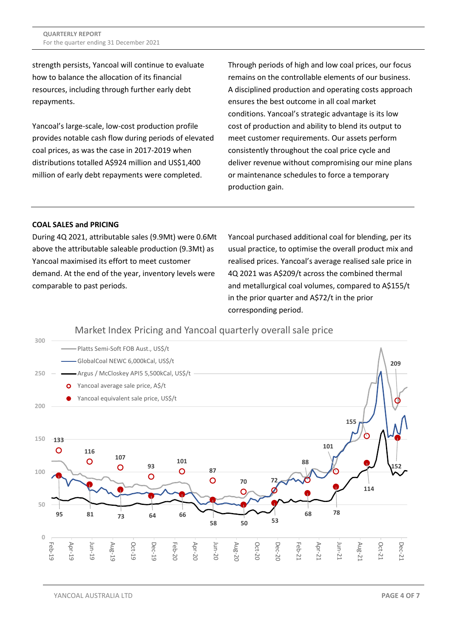strength persists, Yancoal will continue to evaluate how to balance the allocation of its financial resources, including through further early debt repayments.

Yancoal's large-scale, low-cost production profile provides notable cash flow during periods of elevated coal prices, as was the case in 2017-2019 when distributions totalled A\$924 million and US\$1,400 million of early debt repayments were completed.

Through periods of high and low coal prices, our focus remains on the controllable elements of our business. A disciplined production and operating costs approach ensures the best outcome in all coal market conditions. Yancoal's strategic advantage is its low cost of production and ability to blend its output to meet customer requirements. Our assets perform consistently throughout the coal price cycle and deliver revenue without compromising our mine plans or maintenance schedules to force a temporary production gain.

# **COAL SALES and PRICING**

During 4Q 2021, attributable sales (9.9Mt) were 0.6Mt above the attributable saleable production (9.3Mt) as Yancoal maximised its effort to meet customer demand. At the end of the year, inventory levels were comparable to past periods.

Yancoal purchased additional coal for blending, per its usual practice, to optimise the overall product mix and realised prices. Yancoal's average realised sale price in 4Q 2021 was A\$209/t across the combined thermal and metallurgical coal volumes, compared to A\$155/t in the prior quarter and A\$72/t in the prior corresponding period.

# Market Index Pricing and Yancoal quarterly overall sale price



YANCOAL AUSTRALIA LTD **PAGE 4 OF 7**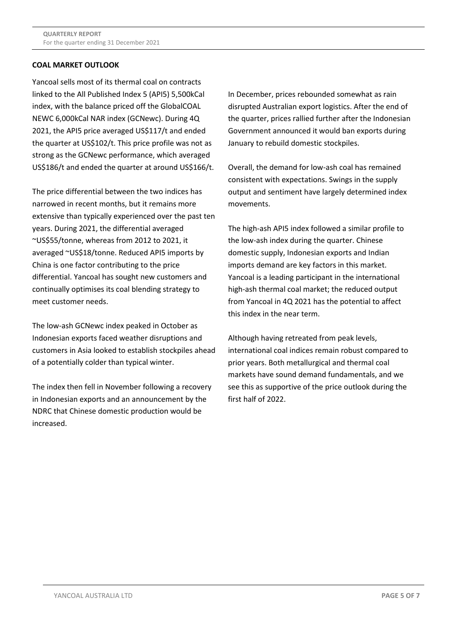# **COAL MARKET OUTLOOK**

Yancoal sells most of its thermal coal on contracts linked to the All Published Index 5 (API5) 5,500kCal index, with the balance priced off the GlobalCOAL NEWC 6,000kCal NAR index (GCNewc). During 4Q 2021, the API5 price averaged US\$117/t and ended the quarter at US\$102/t. This price profile was not as strong as the GCNewc performance, which averaged US\$186/t and ended the quarter at around US\$166/t.

The price differential between the two indices has narrowed in recent months, but it remains more extensive than typically experienced over the past ten years. During 2021, the differential averaged ~US\$55/tonne, whereas from 2012 to 2021, it averaged ~US\$18/tonne. Reduced API5 imports by China is one factor contributing to the price differential. Yancoal has sought new customers and continually optimises its coal blending strategy to meet customer needs.

The low-ash GCNewc index peaked in October as Indonesian exports faced weather disruptions and customers in Asia looked to establish stockpiles ahead of a potentially colder than typical winter.

The index then fell in November following a recovery in Indonesian exports and an announcement by the NDRC that Chinese domestic production would be increased.

In December, prices rebounded somewhat as rain disrupted Australian export logistics. After the end of the quarter, prices rallied further after the Indonesian Government announced it would ban exports during January to rebuild domestic stockpiles.

Overall, the demand for low-ash coal has remained consistent with expectations. Swings in the supply output and sentiment have largely determined index movements.

The high-ash API5 index followed a similar profile to the low-ash index during the quarter. Chinese domestic supply, Indonesian exports and Indian imports demand are key factors in this market. Yancoal is a leading participant in the international high-ash thermal coal market; the reduced output from Yancoal in 4Q 2021 has the potential to affect this index in the near term.

Although having retreated from peak levels, international coal indices remain robust compared to prior years. Both metallurgical and thermal coal markets have sound demand fundamentals, and we see this as supportive of the price outlook during the first half of 2022.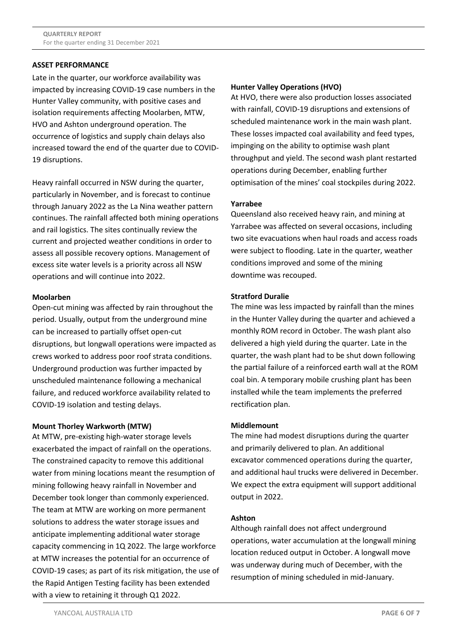# **ASSET PERFORMANCE**

Late in the quarter, our workforce availability was impacted by increasing COVID-19 case numbers in the Hunter Valley community, with positive cases and isolation requirements affecting Moolarben, MTW, HVO and Ashton underground operation. The occurrence of logistics and supply chain delays also increased toward the end of the quarter due to COVID-19 disruptions.

Heavy rainfall occurred in NSW during the quarter, particularly in November, and is forecast to continue through January 2022 as the La Nina weather pattern continues. The rainfall affected both mining operations and rail logistics. The sites continually review the current and projected weather conditions in order to assess all possible recovery options. Management of excess site water levels is a priority across all NSW operations and will continue into 2022.

#### **Moolarben**

Open-cut mining was affected by rain throughout the period. Usually, output from the underground mine can be increased to partially offset open-cut disruptions, but longwall operations were impacted as crews worked to address poor roof strata conditions. Underground production was further impacted by unscheduled maintenance following a mechanical failure, and reduced workforce availability related to COVID-19 isolation and testing delays.

#### **Mount Thorley Warkworth (MTW)**

At MTW, pre-existing high-water storage levels exacerbated the impact of rainfall on the operations. The constrained capacity to remove this additional water from mining locations meant the resumption of mining following heavy rainfall in November and December took longer than commonly experienced. The team at MTW are working on more permanent solutions to address the water storage issues and anticipate implementing additional water storage capacity commencing in 1Q 2022. The large workforce at MTW increases the potential for an occurrence of COVID-19 cases; as part of its risk mitigation, the use of the Rapid Antigen Testing facility has been extended with a view to retaining it through Q1 2022.

### **Hunter Valley Operations (HVO)**

At HVO, there were also production losses associated with rainfall, COVID-19 disruptions and extensions of scheduled maintenance work in the main wash plant. These losses impacted coal availability and feed types, impinging on the ability to optimise wash plant throughput and yield. The second wash plant restarted operations during December, enabling further optimisation of the mines' coal stockpiles during 2022.

# **Yarrabee**

Queensland also received heavy rain, and mining at Yarrabee was affected on several occasions, including two site evacuations when haul roads and access roads were subject to flooding. Late in the quarter, weather conditions improved and some of the mining downtime was recouped.

#### **Stratford Duralie**

The mine was less impacted by rainfall than the mines in the Hunter Valley during the quarter and achieved a monthly ROM record in October. The wash plant also delivered a high yield during the quarter. Late in the quarter, the wash plant had to be shut down following the partial failure of a reinforced earth wall at the ROM coal bin. A temporary mobile crushing plant has been installed while the team implements the preferred rectification plan.

#### **Middlemount**

The mine had modest disruptions during the quarter and primarily delivered to plan. An additional excavator commenced operations during the quarter, and additional haul trucks were delivered in December. We expect the extra equipment will support additional output in 2022.

#### **Ashton**

Although rainfall does not affect underground operations, water accumulation at the longwall mining location reduced output in October. A longwall move was underway during much of December, with the resumption of mining scheduled in mid-January.